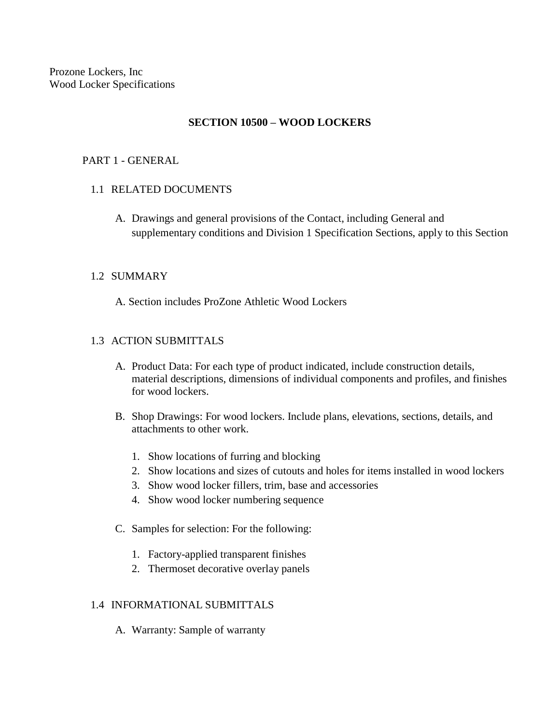Prozone Lockers, Inc Wood Locker Specifications

## **SECTION 10500 – WOOD LOCKERS**

# PART 1 - GENERAL

## 1.1 RELATED DOCUMENTS

A. Drawings and general provisions of the Contact, including General and supplementary conditions and Division 1 Specification Sections, apply to this Section

## 1.2 SUMMARY

A. Section includes ProZone Athletic Wood Lockers

# 1.3 ACTION SUBMITTALS

- A. Product Data: For each type of product indicated, include construction details, material descriptions, dimensions of individual components and profiles, and finishes for wood lockers.
- B. Shop Drawings: For wood lockers. Include plans, elevations, sections, details, and attachments to other work.
	- 1. Show locations of furring and blocking
	- 2. Show locations and sizes of cutouts and holes for items installed in wood lockers
	- 3. Show wood locker fillers, trim, base and accessories
	- 4. Show wood locker numbering sequence
- C. Samples for selection: For the following:
	- 1. Factory-applied transparent finishes
	- 2. Thermoset decorative overlay panels

# 1.4 INFORMATIONAL SUBMITTALS

A. Warranty: Sample of warranty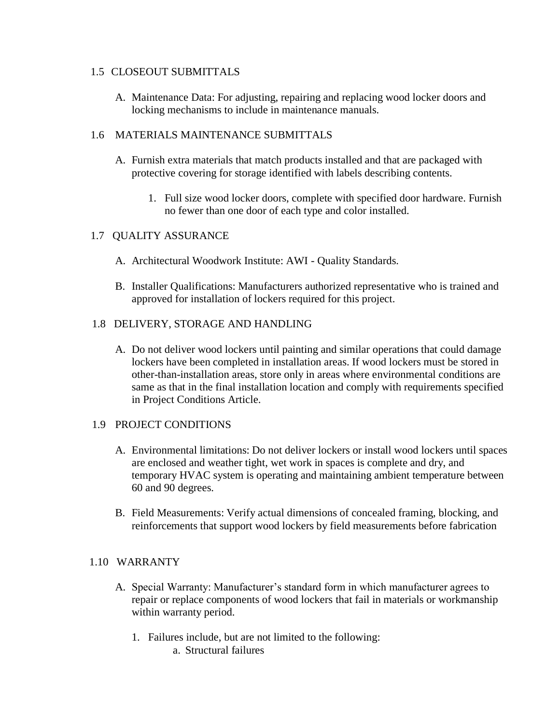### 1.5 CLOSEOUT SUBMITTALS

A. Maintenance Data: For adjusting, repairing and replacing wood locker doors and locking mechanisms to include in maintenance manuals.

## 1.6 MATERIALS MAINTENANCE SUBMITTALS

- A. Furnish extra materials that match products installed and that are packaged with protective covering for storage identified with labels describing contents.
	- 1. Full size wood locker doors, complete with specified door hardware. Furnish no fewer than one door of each type and color installed.

## 1.7 QUALITY ASSURANCE

- A. Architectural Woodwork Institute: AWI Quality Standards.
- B. Installer Qualifications: Manufacturers authorized representative who is trained and approved for installation of lockers required for this project.

## 1.8 DELIVERY, STORAGE AND HANDLING

A. Do not deliver wood lockers until painting and similar operations that could damage lockers have been completed in installation areas. If wood lockers must be stored in other-than-installation areas, store only in areas where environmental conditions are same as that in the final installation location and comply with requirements specified in Project Conditions Article.

### 1.9 PROJECT CONDITIONS

- A. Environmental limitations: Do not deliver lockers or install wood lockers until spaces are enclosed and weather tight, wet work in spaces is complete and dry, and temporary HVAC system is operating and maintaining ambient temperature between 60 and 90 degrees.
- B. Field Measurements: Verify actual dimensions of concealed framing, blocking, and reinforcements that support wood lockers by field measurements before fabrication

### 1.10 WARRANTY

- A. Special Warranty: Manufacturer's standard form in which manufacturer agrees to repair or replace components of wood lockers that fail in materials or workmanship within warranty period.
	- 1. Failures include, but are not limited to the following: a. Structural failures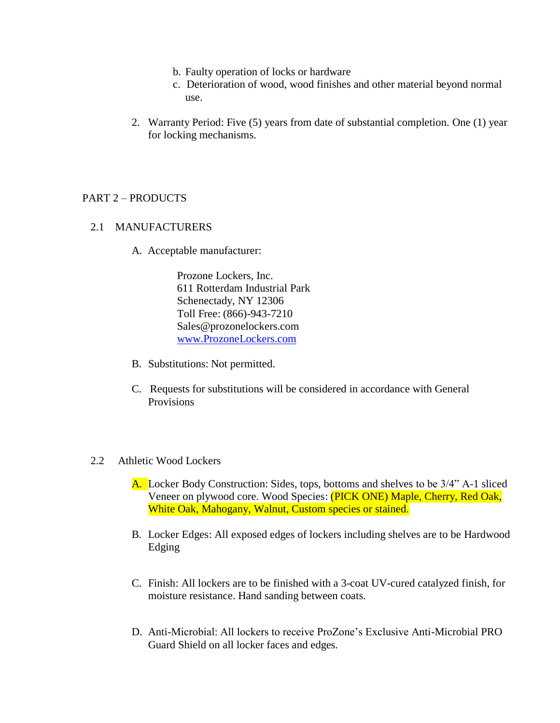- b. Faulty operation of locks or hardware
- c. Deterioration of wood, wood finishes and other material beyond normal use.
- 2. Warranty Period: Five (5) years from date of substantial completion. One (1) year for locking mechanisms.

## PART 2 – PRODUCTS

### 2.1 MANUFACTURERS

A. Acceptable manufacturer:

Prozone Lockers, Inc. 611 Rotterdam Industrial Park Schenectady, NY 12306 Toll Free: (866)-943-7210 Sales@prozonelockers.com [www.ProzoneLockers.com](http://www.prozonelockers.com/)

- B. Substitutions: Not permitted.
- C. Requests for substitutions will be considered in accordance with General **Provisions**

### 2.2 Athletic Wood Lockers

- A. Locker Body Construction: Sides, tops, bottoms and shelves to be 3/4" A-1 sliced Veneer on plywood core. Wood Species: (PICK ONE) Maple, Cherry, Red Oak, White Oak, Mahogany, Walnut, Custom species or stained.
- B. Locker Edges: All exposed edges of lockers including shelves are to be Hardwood Edging
- C. Finish: All lockers are to be finished with a 3-coat UV-cured catalyzed finish, for moisture resistance. Hand sanding between coats.
- D. Anti-Microbial: All lockers to receive ProZone's Exclusive Anti-Microbial PRO Guard Shield on all locker faces and edges.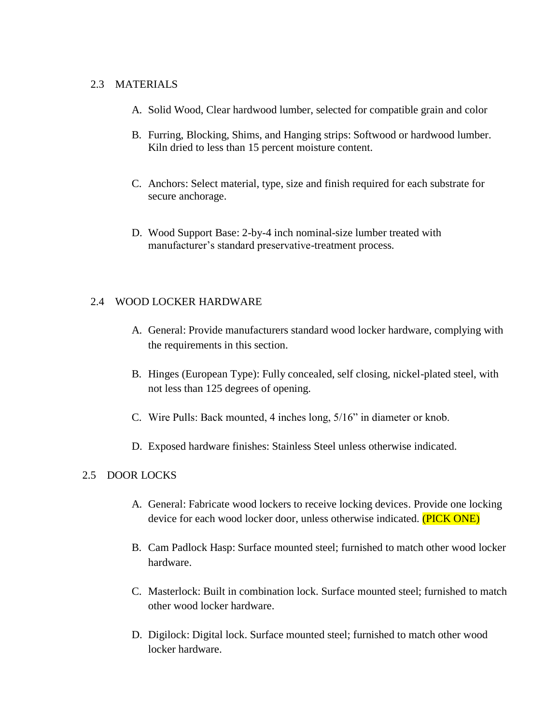### 2.3 MATERIALS

- A. Solid Wood, Clear hardwood lumber, selected for compatible grain and color
- B. Furring, Blocking, Shims, and Hanging strips: Softwood or hardwood lumber. Kiln dried to less than 15 percent moisture content.
- C. Anchors: Select material, type, size and finish required for each substrate for secure anchorage.
- D. Wood Support Base: 2-by-4 inch nominal-size lumber treated with manufacturer's standard preservative-treatment process.

## 2.4 WOOD LOCKER HARDWARE

- A. General: Provide manufacturers standard wood locker hardware, complying with the requirements in this section.
- B. Hinges (European Type): Fully concealed, self closing, nickel-plated steel, with not less than 125 degrees of opening.
- C. Wire Pulls: Back mounted, 4 inches long, 5/16" in diameter or knob.
- D. Exposed hardware finishes: Stainless Steel unless otherwise indicated.

### 2.5 DOOR LOCKS

- A. General: Fabricate wood lockers to receive locking devices. Provide one locking device for each wood locker door, unless otherwise indicated. (PICK ONE)
- B. Cam Padlock Hasp: Surface mounted steel; furnished to match other wood locker hardware.
- C. Masterlock: Built in combination lock. Surface mounted steel; furnished to match other wood locker hardware.
- D. Digilock: Digital lock. Surface mounted steel; furnished to match other wood locker hardware.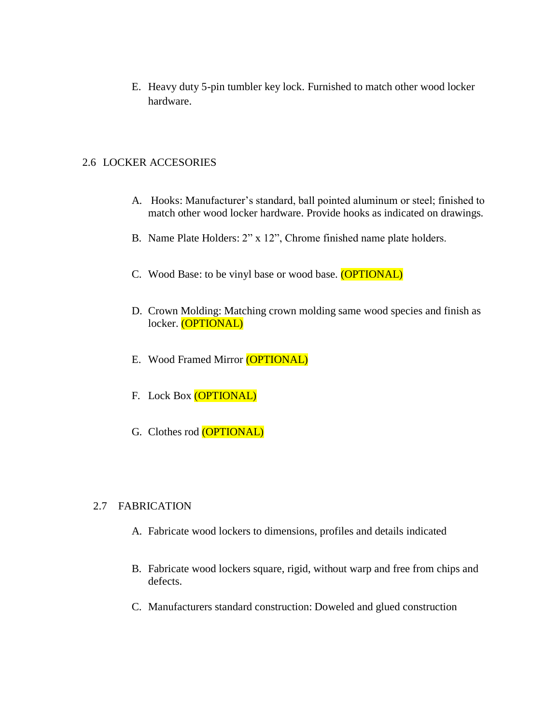E. Heavy duty 5-pin tumbler key lock. Furnished to match other wood locker hardware.

### 2.6 LOCKER ACCESORIES

- A. Hooks: Manufacturer's standard, ball pointed aluminum or steel; finished to match other wood locker hardware. Provide hooks as indicated on drawings.
- B. Name Plate Holders: 2" x 12", Chrome finished name plate holders.
- C. Wood Base: to be vinyl base or wood base. (OPTIONAL)
- D. Crown Molding: Matching crown molding same wood species and finish as locker. (OPTIONAL)
- E. Wood Framed Mirror (OPTIONAL)
- F. Lock Box (OPTIONAL)
- G. Clothes rod (OPTIONAL)

### 2.7 FABRICATION

- A. Fabricate wood lockers to dimensions, profiles and details indicated
- B. Fabricate wood lockers square, rigid, without warp and free from chips and defects.
- C. Manufacturers standard construction: Doweled and glued construction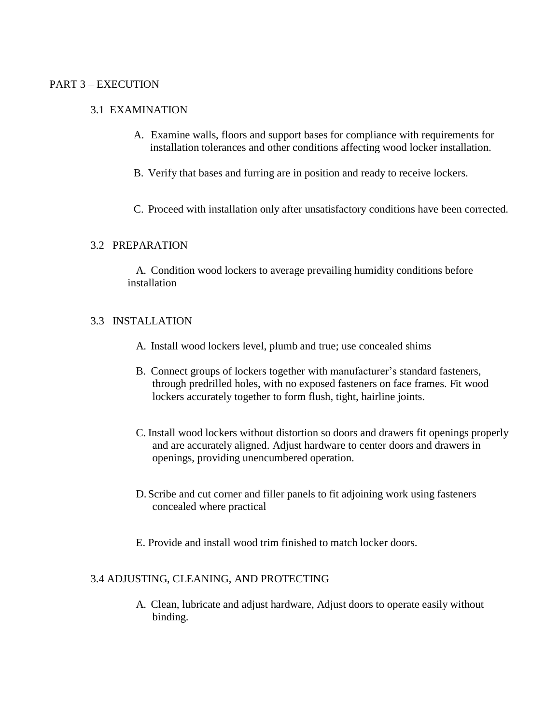### PART 3 – EXECUTION

#### 3.1 EXAMINATION

- A. Examine walls, floors and support bases for compliance with requirements for installation tolerances and other conditions affecting wood locker installation.
- B. Verify that bases and furring are in position and ready to receive lockers.
- C. Proceed with installation only after unsatisfactory conditions have been corrected.

#### 3.2 PREPARATION

A. Condition wood lockers to average prevailing humidity conditions before installation

#### 3.3 INSTALLATION

- A. Install wood lockers level, plumb and true; use concealed shims
- B. Connect groups of lockers together with manufacturer's standard fasteners, through predrilled holes, with no exposed fasteners on face frames. Fit wood lockers accurately together to form flush, tight, hairline joints.
- C. Install wood lockers without distortion so doors and drawers fit openings properly and are accurately aligned. Adjust hardware to center doors and drawers in openings, providing unencumbered operation.
- D. Scribe and cut corner and filler panels to fit adjoining work using fasteners concealed where practical
- E. Provide and install wood trim finished to match locker doors.

### 3.4 ADJUSTING, CLEANING, AND PROTECTING

A. Clean, lubricate and adjust hardware, Adjust doors to operate easily without binding.